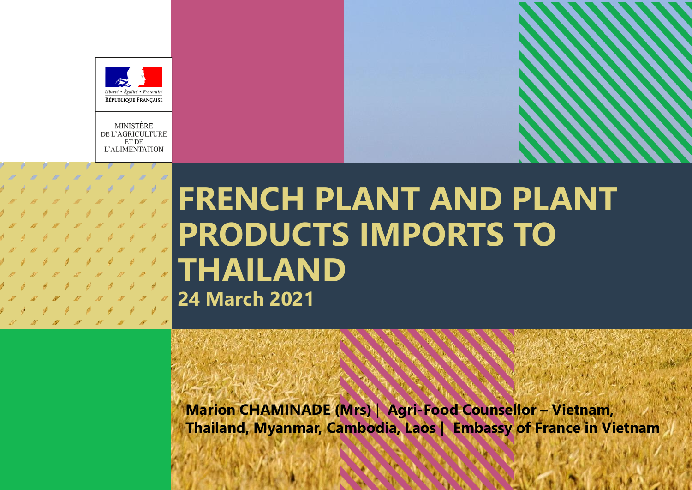

MINISTÈRE DE L'AGRICULTURE ET DE **L'ALIMENTATION** 

# **FRENCH PLANT AND PLANT PRODUCTS IMPORTS TO THAILAND 24 March 2021**

**Marion CHAMINADE (Mrs)** | **Agri-Food Counsellor – Vietnam, Thailand, Myanmar, Cambodia, Laos | Embassy of France in Vietnam**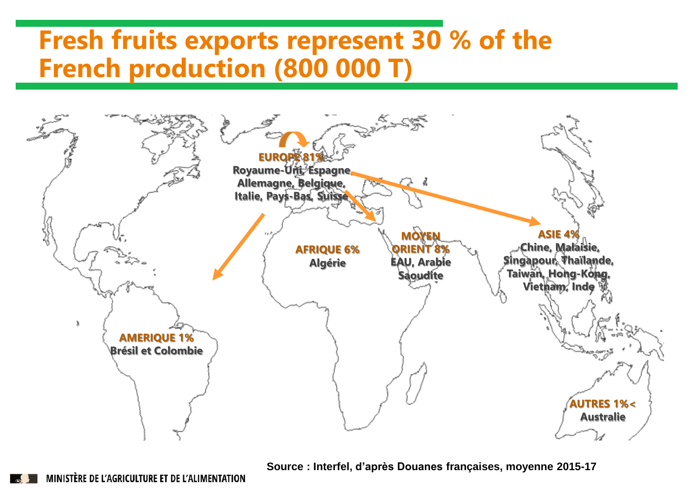#### **Fresh fruits exports represent 30 % of the French production (800 000 T)**



**Source : Interfel, d'après Douanes françaises, moyenne 2015-17**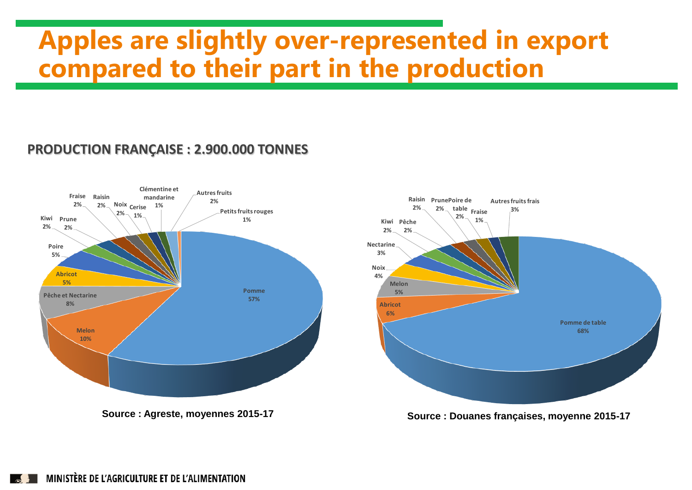### **Apples are slightly over-represented in export compared to their part in the production**

#### **PRODUCTION FRANÇAISE : 2.900.000 TONNES**





**Source : Agreste, moyennes 2015-17 Source : Douanes françaises, moyenne 2015-17**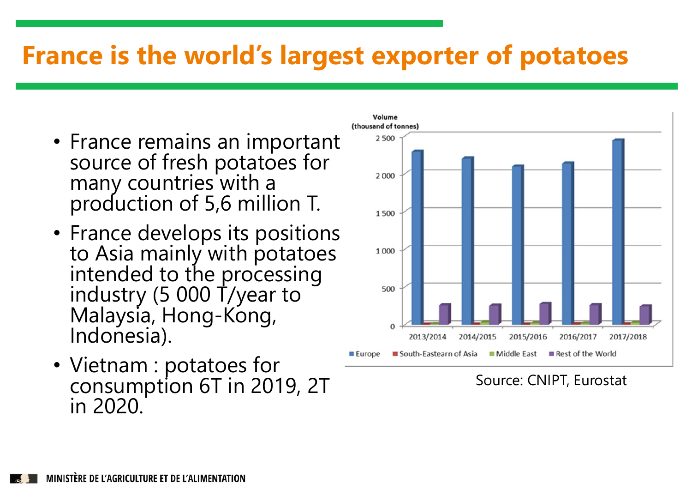#### **France is the world's largest exporter of potatoes**

- France remains an important source of fresh potatoes for many countries with a production of 5,6 million T.
- France develops its positions to Asia mainly with potatoes intended to the processing industry (5 000 T/year to Malaysia, Hong-Kong, Indonesia).
- Vietnam : potatoes for consumption 6T in 2019, 2T in 2020.



Source: CNIPT, Eurostat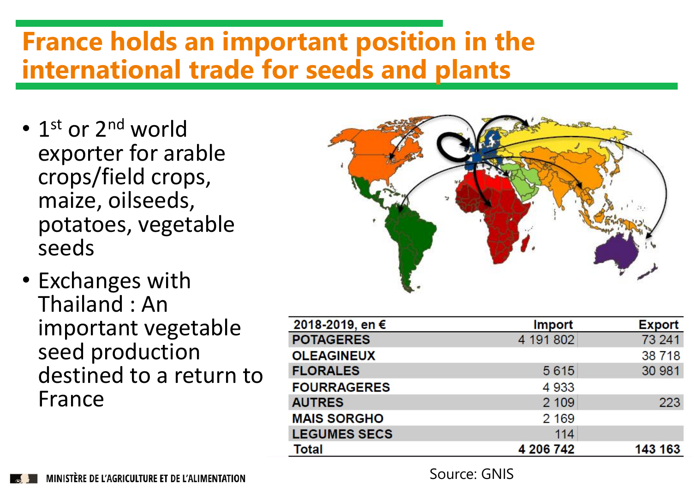### **France holds an important position in the international trade for seeds and plants**

- 1<sup>st</sup> or 2<sup>nd</sup> world exporter for arable crops/field crops, maize, oilseeds, potatoes, vegetable seeds
- Exchanges with Thailand : An important vegetable seed production destined to a return to France



| 2018-2019, en €     | <b>Import</b> | <b>Export</b> |
|---------------------|---------------|---------------|
| <b>POTAGERES</b>    | 4 191 802     | 73 241        |
| <b>OLEAGINEUX</b>   |               | 38 718        |
| <b>FLORALES</b>     | 5615          | 30 981        |
| <b>FOURRAGERES</b>  | 4933          |               |
| <b>AUTRES</b>       | 2 1 0 9       | 223           |
| <b>MAIS SORGHO</b>  | 2 1 6 9       |               |
| <b>LEGUMES SECS</b> | 114           |               |
| <b>Total</b>        | 4 206 742     | 143 163       |

Source: GNIS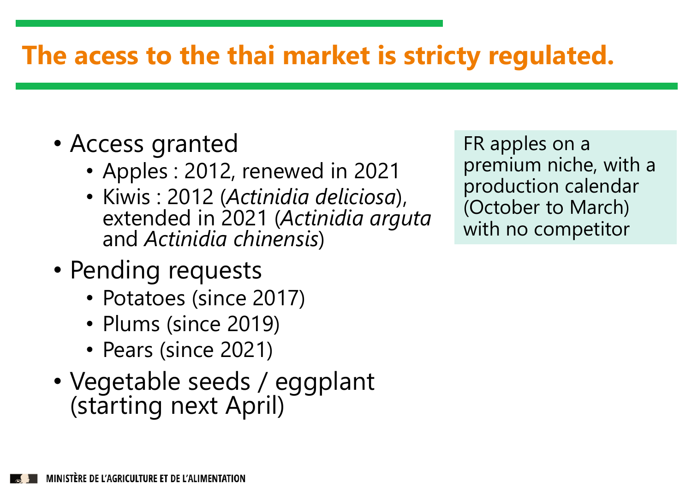# **The acess to the thai market is stricty regulated.**

- Access granted
	- Apples : 2012, renewed in 2021
	- Kiwis : 2012 (*Actinidia deliciosa*), extended in 2021 (*Actinidia arguta* and *Actinidia chinensis*)
- Pending requests
	- Potatoes (since 2017)
	- Plums (since 2019)
	- Pears (since 2021)
- Vegetable seeds / eggplant (starting next April)

FR apples on a premium niche, with a production calendar (October to March) with no competitor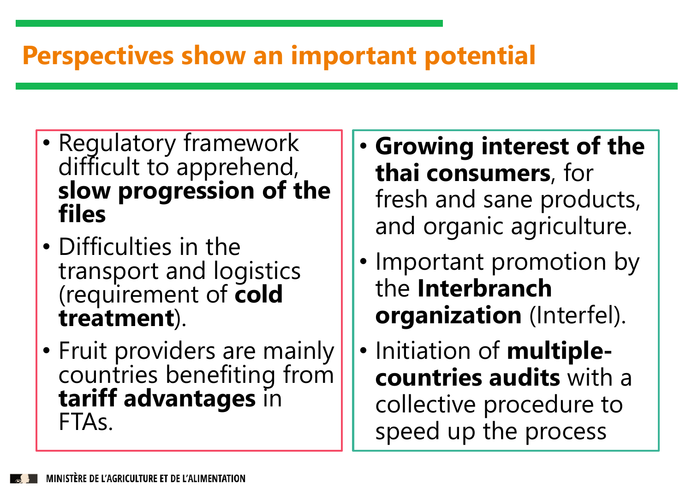# **Perspectives show an important potential**

- Regulatory framework difficult to apprehend, **slow progression of the files**
- Difficulties in the transport and logistics (requirement of **cold treatment**).
- Fruit providers are mainly countries benefiting from **tariff advantages** in FTAs.
- **Growing interest of the thai consumers**, for fresh and sane products, and organic agriculture.
- Important promotion by the **Interbranch organization** (Interfel).
- Initiation of **multiplecountries audits** with a collective procedure to speed up the process